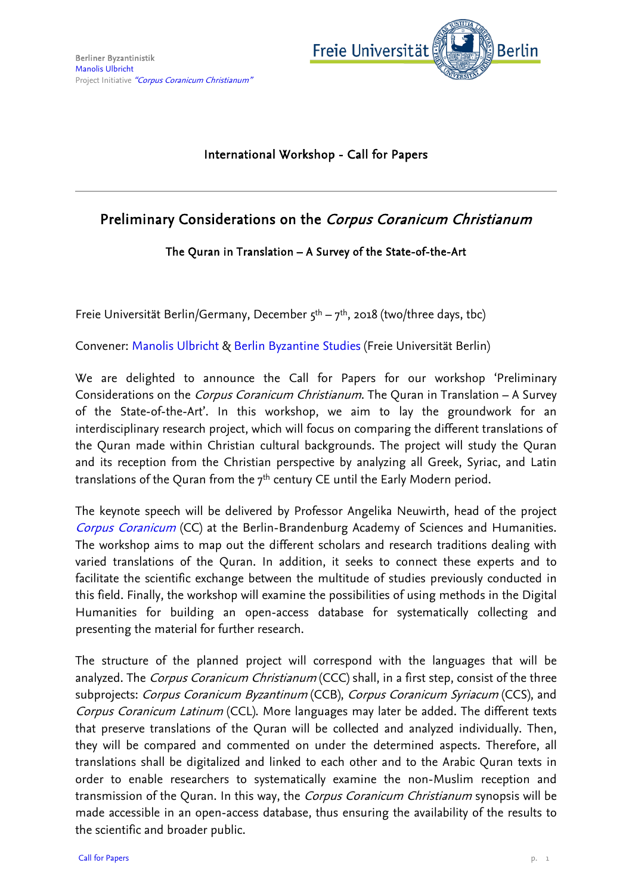

## International Workshop - Call for Papers

## Preliminary Considerations on the Corpus Coranicum Christianum

## The Quran in Translation – A Survey of the State-of-the-Art

Freie Universität Berlin/Germany, December  $5^{th} - 7^{th}$ , 2018 (two/three days, tbc)

Convener: [Manolis Ulbricht](http://www.geisteswissenschaften.fu-berlin.de/en/we02/institut/mitarbeiter/wimi/marudis_ulbricht/index.html) & [Berlin Byzantine Studies](http://www.geisteswissenschaften.fu-berlin.de/en/we02/griechisch/byzantinistik/index.html) (Freie Universität Berlin)

We are delighted to announce the Call for Papers for our workshop 'Preliminary Considerations on the Corpus Coranicum Christianum. The Quran in Translation – A Survey of the State-of-the-Art'. In this workshop, we aim to lay the groundwork for an interdisciplinary research project, which will focus on comparing the different translations of the Quran made within Christian cultural backgrounds. The project will study the Quran and its reception from the Christian perspective by analyzing all Greek, Syriac, and Latin translations of the Quran from the  $7<sup>th</sup>$  century CE until the Early Modern period.

The keynote speech will be delivered by Professor Angelika Neuwirth, head of the project [Corpus Coranicum](http://www.bbaw.de/en/research/Coran) (CC) at the Berlin-Brandenburg Academy of Sciences and Humanities. The workshop aims to map out the different scholars and research traditions dealing with varied translations of the Quran. In addition, it seeks to connect these experts and to facilitate the scientific exchange between the multitude of studies previously conducted in this field. Finally, the workshop will examine the possibilities of using methods in the Digital Humanities for building an open-access database for systematically collecting and presenting the material for further research.

The structure of the planned project will correspond with the languages that will be analyzed. The *Corpus Coranicum Christianum* (CCC) shall, in a first step, consist of the three subprojects: Corpus Coranicum Byzantinum (CCB), Corpus Coranicum Syriacum (CCS), and Corpus Coranicum Latinum (CCL). More languages may later be added. The different texts that preserve translations of the Quran will be collected and analyzed individually. Then, they will be compared and commented on under the determined aspects. Therefore, all translations shall be digitalized and linked to each other and to the Arabic Quran texts in order to enable researchers to systematically examine the non-Muslim reception and transmission of the Quran. In this way, the *Corpus Coranicum Christianum* synopsis will be made accessible in an open-access database, thus ensuring the availability of the results to the scientific and broader public.